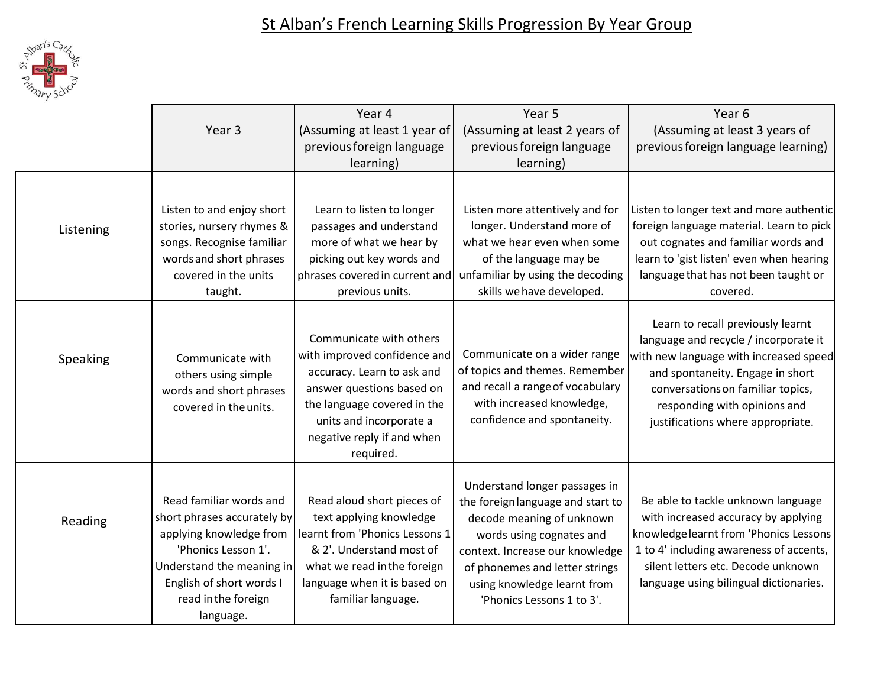

|           |                                                                                                                                                                                                       | Year 4<br>Year 5                                                                                                                                                                                                        |                                                                                                                                                                                                                                                              | Year <sub>6</sub>                                                                                                                                                                                                                                                  |
|-----------|-------------------------------------------------------------------------------------------------------------------------------------------------------------------------------------------------------|-------------------------------------------------------------------------------------------------------------------------------------------------------------------------------------------------------------------------|--------------------------------------------------------------------------------------------------------------------------------------------------------------------------------------------------------------------------------------------------------------|--------------------------------------------------------------------------------------------------------------------------------------------------------------------------------------------------------------------------------------------------------------------|
|           | Year <sub>3</sub>                                                                                                                                                                                     | (Assuming at least 1 year of                                                                                                                                                                                            | (Assuming at least 2 years of                                                                                                                                                                                                                                | (Assuming at least 3 years of                                                                                                                                                                                                                                      |
|           |                                                                                                                                                                                                       | previous foreign language                                                                                                                                                                                               | previous foreign language                                                                                                                                                                                                                                    | previous foreign language learning)                                                                                                                                                                                                                                |
|           |                                                                                                                                                                                                       | learning)                                                                                                                                                                                                               | learning)                                                                                                                                                                                                                                                    |                                                                                                                                                                                                                                                                    |
| Listening | Listen to and enjoy short<br>stories, nursery rhymes &<br>songs. Recognise familiar<br>words and short phrases                                                                                        | Learn to listen to longer<br>passages and understand<br>more of what we hear by<br>picking out key words and                                                                                                            | Listen more attentively and for<br>longer. Understand more of<br>what we hear even when some<br>of the language may be                                                                                                                                       | Listen to longer text and more authentic<br>foreign language material. Learn to pick<br>out cognates and familiar words and<br>learn to 'gist listen' even when hearing                                                                                            |
|           | covered in the units                                                                                                                                                                                  | phrases covered in current and                                                                                                                                                                                          | unfamiliar by using the decoding                                                                                                                                                                                                                             | language that has not been taught or                                                                                                                                                                                                                               |
|           | taught.                                                                                                                                                                                               | previous units.                                                                                                                                                                                                         | skills we have developed.                                                                                                                                                                                                                                    | covered.                                                                                                                                                                                                                                                           |
| Speaking  | Communicate with<br>others using simple<br>words and short phrases<br>covered in the units.                                                                                                           | Communicate with others<br>with improved confidence and<br>accuracy. Learn to ask and<br>answer questions based on<br>the language covered in the<br>units and incorporate a<br>negative reply if and when<br>required. | Communicate on a wider range<br>of topics and themes. Remember<br>and recall a range of vocabulary<br>with increased knowledge,<br>confidence and spontaneity.                                                                                               | Learn to recall previously learnt<br>language and recycle / incorporate it<br>with new language with increased speed<br>and spontaneity. Engage in short<br>conversations on familiar topics,<br>responding with opinions and<br>justifications where appropriate. |
| Reading   | Read familiar words and<br>short phrases accurately by<br>applying knowledge from<br>'Phonics Lesson 1'.<br>Understand the meaning in<br>English of short words I<br>read in the foreign<br>language. | Read aloud short pieces of<br>text applying knowledge<br>learnt from 'Phonics Lessons 1<br>& 2'. Understand most of<br>what we read in the foreign<br>language when it is based on<br>familiar language.                | Understand longer passages in<br>the foreign language and start to<br>decode meaning of unknown<br>words using cognates and<br>context. Increase our knowledge<br>of phonemes and letter strings<br>using knowledge learnt from<br>'Phonics Lessons 1 to 3'. | Be able to tackle unknown language<br>with increased accuracy by applying<br>knowledge learnt from 'Phonics Lessons<br>1 to 4' including awareness of accents,<br>silent letters etc. Decode unknown<br>language using bilingual dictionaries.                     |